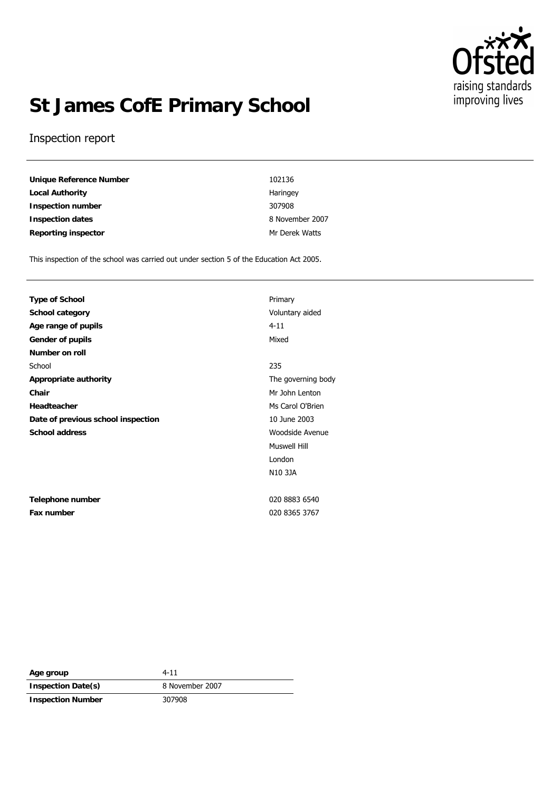

# **St James CofE Primary School**

#### Inspection report

**Unique Reference Number** 102136 **Local Authority Haringey Inspection number** 307908 **Inspection dates** 8 November 2007 Reporting inspector and a metal of the Matter of Mr Derek Watts

This inspection of the school was carried out under section 5 of the Education Act 2005.

| <b>Type of School</b>              | Prima    |
|------------------------------------|----------|
| School category                    | Volun    |
| Age range of pupils                | $4 - 11$ |
| Gender of pupils                   | Mixed    |
| Number on roll                     |          |
| School                             | 235      |
| Appropriate authority              | The q    |
| Chair                              | Mr Jol   |
| Headteacher                        | Ms Ca    |
| Date of previous school inspection | 10 Jul   |
| School address                     | Wood     |
|                                    |          |

**Telephone number** 020 8883 6540 **Fax number** 020 8365 3767

**Primary School category** Voluntary aided The governing body **Chair** Mr John Lenton **Ms Carol O'Brien Date of previous school inspection** 10 June 2003 **School address** Woodside Avenue Muswell Hill London N10 3JA

| Age group                | $4 - 11$        |
|--------------------------|-----------------|
| Inspection Date(s)       | 8 November 2007 |
| <b>Inspection Number</b> | 307908          |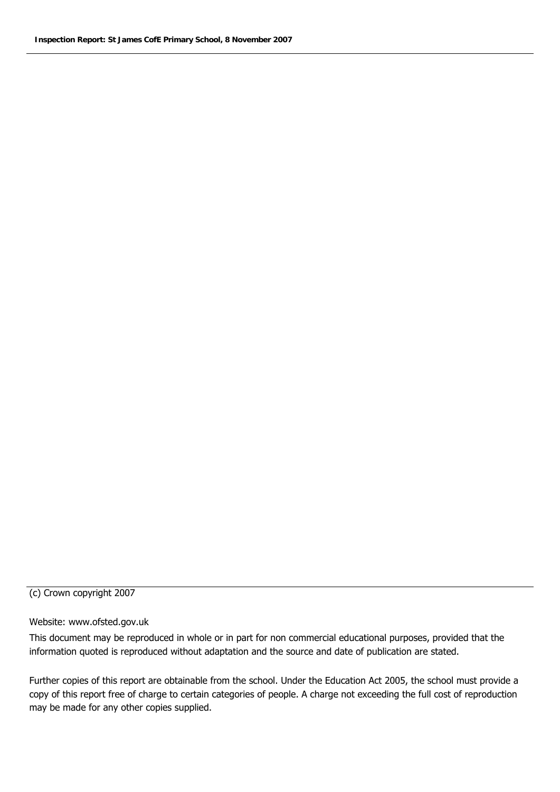#### (c) Crown copyright 2007

#### Website: www.ofsted.gov.uk

This document may be reproduced in whole or in part for non commercial educational purposes, provided that the information quoted is reproduced without adaptation and the source and date of publication are stated.

Further copies of this report are obtainable from the school. Under the Education Act 2005, the school must provide a copy of this report free of charge to certain categories of people. A charge not exceeding the full cost of reproduction may be made for any other copies supplied.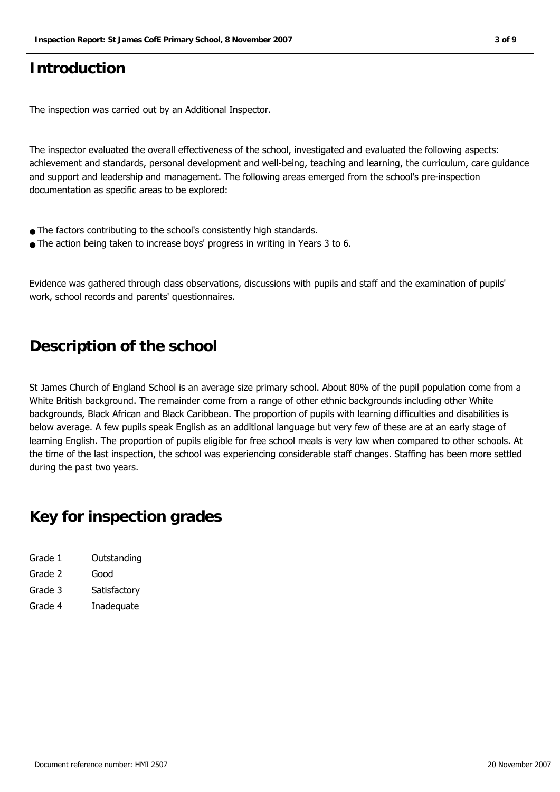## **Introduction**

The inspection was carried out by an Additional Inspector.

The inspector evaluated the overall effectiveness of the school, investigated and evaluated the following aspects: achievement and standards, personal development and well-being, teaching and learning, the curriculum, care guidance and support and leadership and management. The following areas emerged from the school's pre-inspection documentation as specific areas to be explored:

- The factors contributing to the school's consistently high standards.
- The action being taken to increase boys' progress in writing in Years 3 to 6.

Evidence was gathered through class observations, discussions with pupils and staff and the examination of pupils' work, school records and parents' questionnaires.

### **Description of the school**

St James Church of England School is an average size primary school. About 80% of the pupil population come from a White British background. The remainder come from a range of other ethnic backgrounds including other White backgrounds, Black African and Black Caribbean. The proportion of pupils with learning difficulties and disabilities is below average. A few pupils speak English as an additional language but very few of these are at an early stage of learning English. The proportion of pupils eligible for free school meals is very low when compared to other schools. At the time of the last inspection, the school was experiencing considerable staff changes. Staffing has been more settled during the past two years.

## **Key for inspection grades**

| Grade 1 | Outstanding  |
|---------|--------------|
| Grade 2 | Good         |
| Grade 3 | Satisfactory |
| Grade 4 | Inadequate   |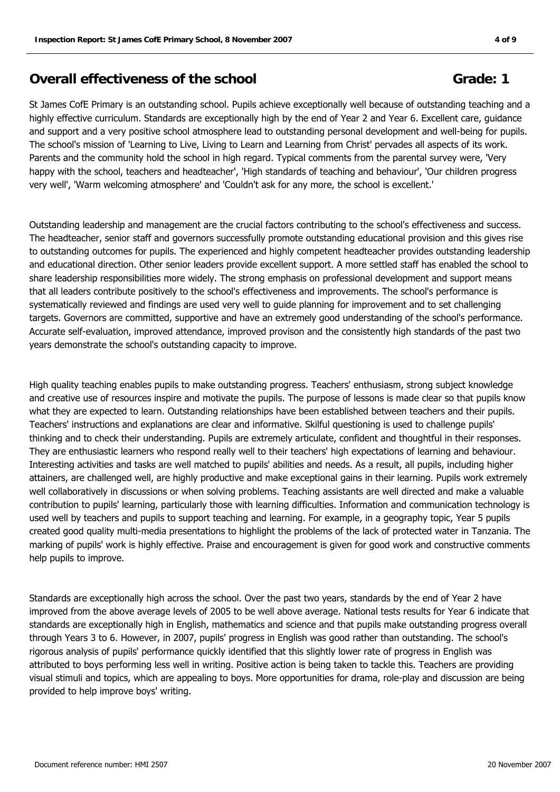#### **Overall effectiveness of the school <b>Grade:** 1

St James CofE Primary is an outstanding school. Pupils achieve exceptionally well because of outstanding teaching and a highly effective curriculum. Standards are exceptionally high by the end of Year 2 and Year 6. Excellent care, guidance and support and a very positive school atmosphere lead to outstanding personal development and well-being for pupils. The school's mission of 'Learning to Live, Living to Learn and Learning from Christ' pervades all aspects of its work. Parents and the community hold the school in high regard. Typical comments from the parental survey were, 'Very happy with the school, teachers and headteacher', 'High standards of teaching and behaviour', 'Our children progress very well', 'Warm welcoming atmosphere' and 'Couldn't ask for any more, the school is excellent.'

Outstanding leadership and management are the crucial factors contributing to the school's effectiveness and success. The headteacher, senior staff and governors successfully promote outstanding educational provision and this gives rise to outstanding outcomes for pupils. The experienced and highly competent headteacher provides outstanding leadership and educational direction. Other senior leaders provide excellent support. A more settled staff has enabled the school to share leadership responsibilities more widely. The strong emphasis on professional development and support means that all leaders contribute positively to the school's effectiveness and improvements. The school's performance is systematically reviewed and findings are used very well to guide planning for improvement and to set challenging targets. Governors are committed, supportive and have an extremely good understanding of the school's performance. Accurate self-evaluation, improved attendance, improved provison and the consistently high standards of the past two years demonstrate the school's outstanding capacity to improve.

High quality teaching enables pupils to make outstanding progress. Teachers' enthusiasm, strong subject knowledge and creative use of resources inspire and motivate the pupils. The purpose of lessons is made clear so that pupils know what they are expected to learn. Outstanding relationships have been established between teachers and their pupils. Teachers' instructions and explanations are clear and informative. Skilful questioning is used to challenge pupils' thinking and to check their understanding. Pupils are extremely articulate, confident and thoughtful in their responses. They are enthusiastic learners who respond really well to their teachers' high expectations of learning and behaviour. Interesting activities and tasks are well matched to pupils' abilities and needs. As a result, all pupils, including higher attainers, are challenged well, are highly productive and make exceptional gains in their learning. Pupils work extremely well collaboratively in discussions or when solving problems. Teaching assistants are well directed and make a valuable contribution to pupils' learning, particularly those with learning difficulties. Information and communication technology is used well by teachers and pupils to support teaching and learning. For example, in a geography topic, Year 5 pupils created good quality multi-media presentations to highlight the problems of the lack of protected water in Tanzania. The marking of pupils' work is highly effective. Praise and encouragement is given for good work and constructive comments help pupils to improve.

Standards are exceptionally high across the school. Over the past two years, standards by the end of Year 2 have improved from the above average levels of 2005 to be well above average. National tests results for Year 6 indicate that standards are exceptionally high in English, mathematics and science and that pupils make outstanding progress overall through Years 3 to 6. However, in 2007, pupils' progress in English was good rather than outstanding. The school's rigorous analysis of pupils' performance quickly identified that this slightly lower rate of progress in English was attributed to boys performing less well in writing. Positive action is being taken to tackle this. Teachers are providing visual stimuli and topics, which are appealing to boys. More opportunities for drama, role-play and discussion are being provided to help improve boys' writing.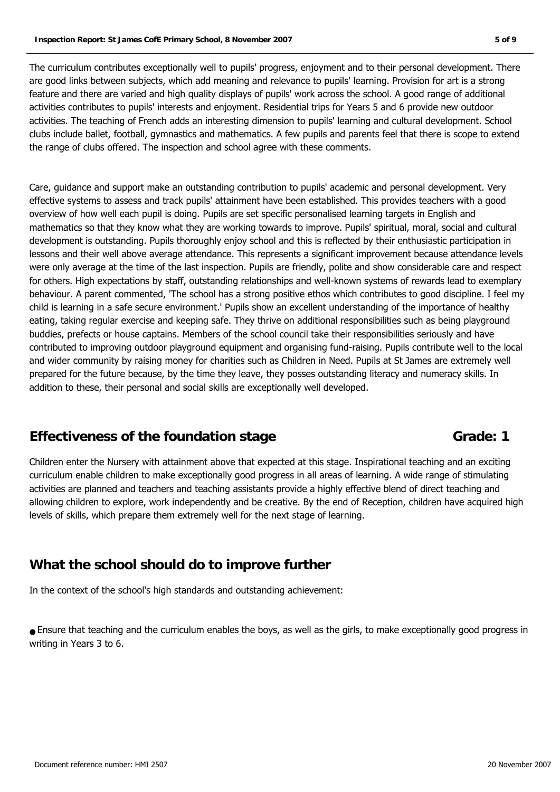The curriculum contributes exceptionally well to pupils' progress, enjoyment and to their personal development. There are good links between subjects, which add meaning and relevance to pupils' learning. Provision for art is a strong feature and there are varied and high quality displays of pupils' work across the school. A good range of additional activities contributes to pupils' interests and enjoyment. Residential trips for Years 5 and 6 provide new outdoor activities. The teaching of French adds an interesting dimension to pupils' learning and cultural development. School clubs include ballet, football, gymnastics and mathematics. A few pupils and parents feel that there is scope to extend the range of clubs offered. The inspection and school agree with these comments.

Care, guidance and support make an outstanding contribution to pupils' academic and personal development. Very effective systems to assess and track pupils' attainment have been established. This provides teachers with a good overview of how well each pupil is doing. Pupils are set specific personalised learning targets in English and mathematics so that they know what they are working towards to improve. Pupils' spiritual, moral, social and cultural development is outstanding. Pupils thoroughly enjoy school and this is reflected by their enthusiastic participation in lessons and their well above average attendance. This represents a significant improvement because attendance levels were only average at the time of the last inspection. Pupils are friendly, polite and show considerable care and respect for others. High expectations by staff, outstanding relationships and well-known systems of rewards lead to exemplary behaviour. A parent commented, 'The school has a strong positive ethos which contributes to good discipline. I feel my child is learning in a safe secure environment.' Pupils show an excellent understanding of the importance of healthy eating, taking regular exercise and keeping safe. They thrive on additional responsibilities such as being playground buddies, prefects or house captains. Members of the school council take their responsibilities seriously and have contributed to improving outdoor playground equipment and organising fund-raising. Pupils contribute well to the local and wider community by raising money for charities such as Children in Need. Pupils at St James are extremely well prepared for the future because, by the time they leave, they posses outstanding literacy and numeracy skills. In addition to these, their personal and social skills are exceptionally well developed.

#### **Effectiveness of the foundation stage <b>Grade:** Grade: 1

Children enter the Nursery with attainment above that expected at this stage. Inspirational teaching and an exciting curriculum enable children to make exceptionally good progress in all areas of learning. A wide range of stimulating activities are planned and teachers and teaching assistants provide a highly effective blend of direct teaching and allowing children to explore, work independently and be creative. By the end of Reception, children have acquired high levels of skills, which prepare them extremely well for the next stage of learning.

### **What the school should do to improve further**

In the context of the school's high standards and outstanding achievement:

● Ensure that teaching and the curriculum enables the boys, as well as the girls, to make exceptionally good progress in writing in Years 3 to 6.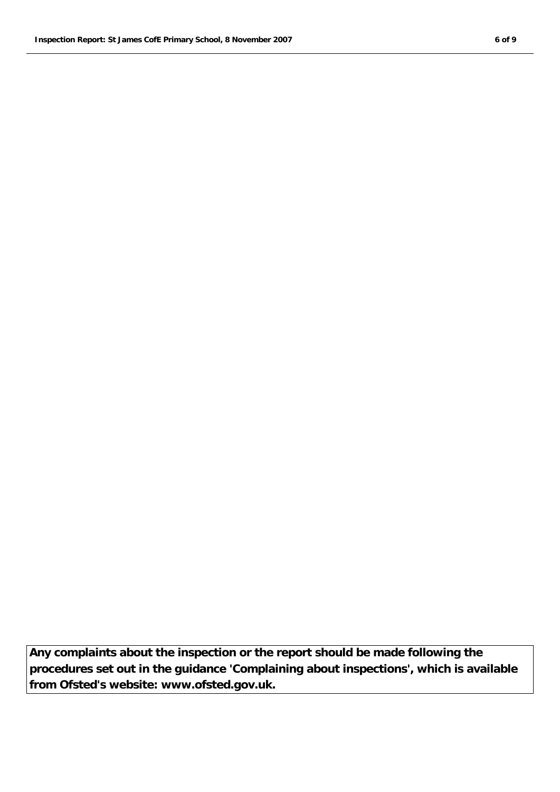**Any complaints about the inspection or the report should be made following the procedures set out in the guidance 'Complaining about inspections', which is available from Ofsted's website: www.ofsted.gov.uk.**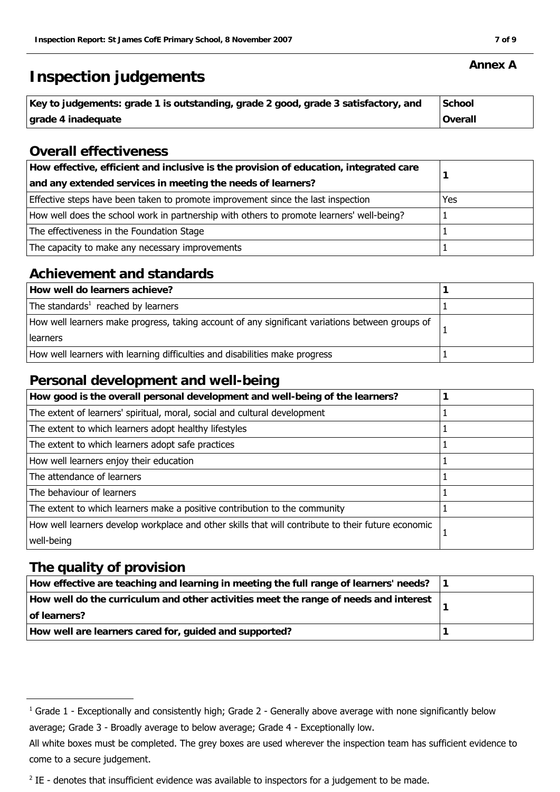## **Inspection judgements**

| Key to judgements: grade 1 is outstanding, grade 2 good, grade 3 satisfactory, and | l School |
|------------------------------------------------------------------------------------|----------|
| grade 4 inadequate                                                                 | Overall  |

#### **Overall effectiveness**

| How effective, efficient and inclusive is the provision of education, integrated care<br>and any extended services in meeting the needs of learners? |     |
|------------------------------------------------------------------------------------------------------------------------------------------------------|-----|
| Effective steps have been taken to promote improvement since the last inspection                                                                     | Yes |
| How well does the school work in partnership with others to promote learners' well-being?                                                            |     |
| The effectiveness in the Foundation Stage                                                                                                            |     |
| The capacity to make any necessary improvements                                                                                                      |     |

#### **Achievement and standards**

| How well do learners achieve?                                                                   |  |
|-------------------------------------------------------------------------------------------------|--|
| The standards <sup>1</sup> reached by learners                                                  |  |
| How well learners make progress, taking account of any significant variations between groups of |  |
| learners                                                                                        |  |
| How well learners with learning difficulties and disabilities make progress                     |  |

#### **Personal development and well-being**

| How good is the overall personal development and well-being of the learners?                       |  |
|----------------------------------------------------------------------------------------------------|--|
| The extent of learners' spiritual, moral, social and cultural development                          |  |
| The extent to which learners adopt healthy lifestyles                                              |  |
| The extent to which learners adopt safe practices                                                  |  |
| How well learners enjoy their education                                                            |  |
| The attendance of learners                                                                         |  |
| The behaviour of learners                                                                          |  |
| The extent to which learners make a positive contribution to the community                         |  |
| How well learners develop workplace and other skills that will contribute to their future economic |  |
| well-being                                                                                         |  |

#### **The quality of provision**

| How effective are teaching and learning in meeting the full range of learners' needs?                |  |
|------------------------------------------------------------------------------------------------------|--|
| How well do the curriculum and other activities meet the range of needs and interest<br>of learners? |  |
| How well are learners cared for, guided and supported?                                               |  |

#### **Annex A**

 $^1$  Grade 1 - Exceptionally and consistently high; Grade 2 - Generally above average with none significantly below average; Grade 3 - Broadly average to below average; Grade 4 - Exceptionally low.

All white boxes must be completed. The grey boxes are used wherever the inspection team has sufficient evidence to come to a secure judgement.

 $2$  IE - denotes that insufficient evidence was available to inspectors for a judgement to be made.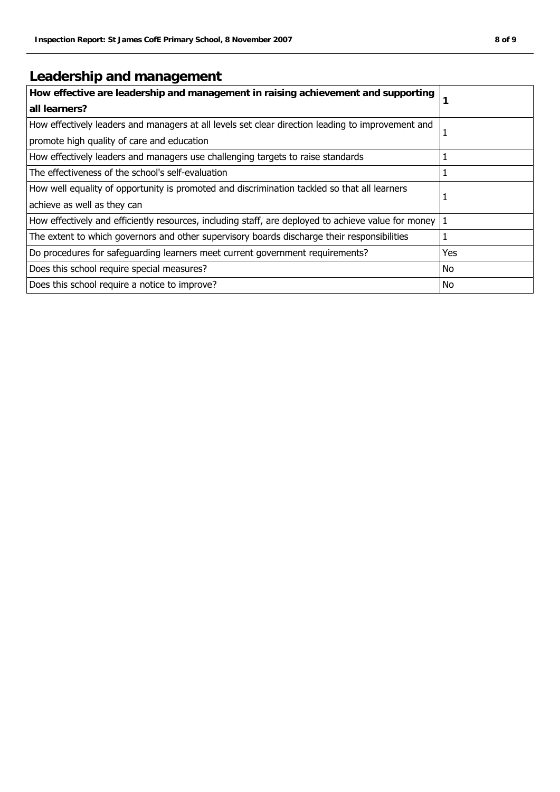## **Leadership and management**

| How effective are leadership and management in raising achievement and supporting                   |            |
|-----------------------------------------------------------------------------------------------------|------------|
| all learners?                                                                                       |            |
| How effectively leaders and managers at all levels set clear direction leading to improvement and   |            |
| promote high quality of care and education                                                          | л.         |
| How effectively leaders and managers use challenging targets to raise standards                     |            |
| The effectiveness of the school's self-evaluation                                                   | 1          |
| How well equality of opportunity is promoted and discrimination tackled so that all learners        | 1          |
| achieve as well as they can                                                                         |            |
| How effectively and efficiently resources, including staff, are deployed to achieve value for money | $\vert$ 1  |
| The extent to which governors and other supervisory boards discharge their responsibilities         | 1          |
| Do procedures for safeguarding learners meet current government requirements?                       | <b>Yes</b> |
| Does this school require special measures?                                                          | No         |
| Does this school require a notice to improve?                                                       | No         |